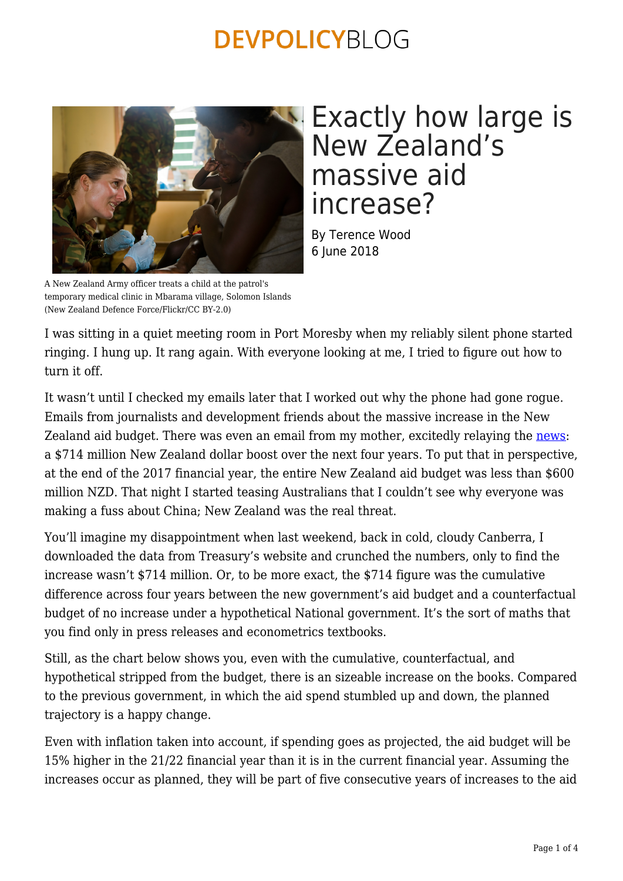

## Exactly how large is New Zealand's massive aid increase?

By Terence Wood 6 June 2018

A New Zealand Army officer treats a child at the patrol's temporary medical clinic in Mbarama village, Solomon Islands (New Zealand Defence Force/Flickr/CC BY-2.0)

I was sitting in a quiet meeting room in Port Moresby when my reliably silent phone started ringing. I hung up. It rang again. With everyone looking at me, I tried to figure out how to turn it off.

It wasn't until I checked my emails later that I worked out why the phone had gone rogue. Emails from journalists and development friends about the massive increase in the New Zealand aid budget. There was even an email from my mother, excitedly relaying the [news:](http://www.radionz.co.nz/news/political/356903/714m-to-be-pumped-into-govt-s-pacific-reset-plan) a \$714 million New Zealand dollar boost over the next four years. To put that in perspective, at the end of the 2017 financial year, the entire New Zealand aid budget was less than \$600 million NZD. That night I started teasing Australians that I couldn't see why everyone was making a fuss about China; New Zealand was the real threat.

You'll imagine my disappointment when last weekend, back in cold, cloudy Canberra, I downloaded the data from Treasury's website and crunched the numbers, only to find the increase wasn't \$714 million. Or, to be more exact, the \$714 figure was the cumulative difference across four years between the new government's aid budget and a counterfactual budget of no increase under a hypothetical National government. It's the sort of maths that you find only in press releases and econometrics textbooks.

Still, as the chart below shows you, even with the cumulative, counterfactual, and hypothetical stripped from the budget, there is an sizeable increase on the books. Compared to the previous government, in which the aid spend stumbled up and down, the planned trajectory is a happy change.

Even with inflation taken into account, if spending goes as projected, the aid budget will be 15% higher in the 21/22 financial year than it is in the current financial year. Assuming the increases occur as planned, they will be part of five consecutive years of increases to the aid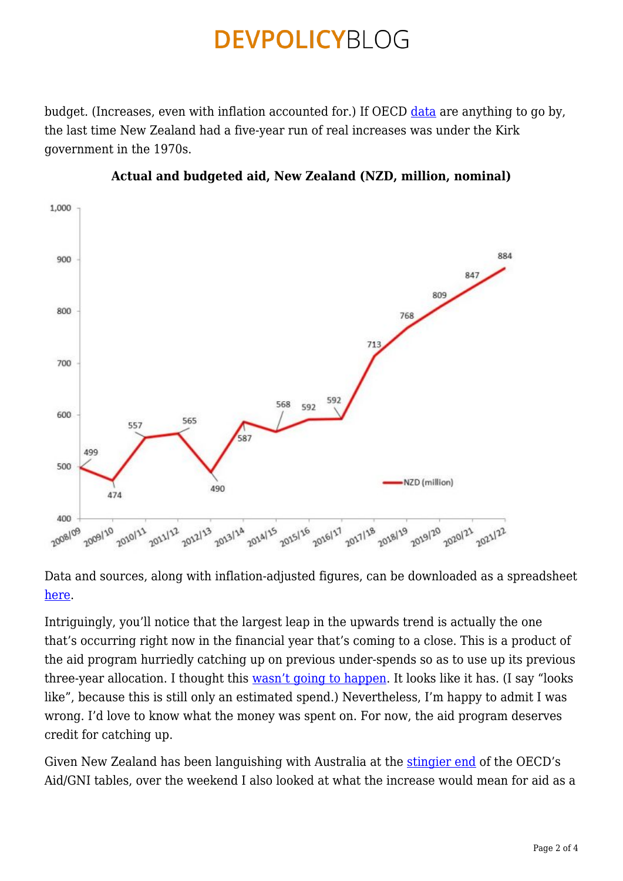budget. (Increases, even with inflation accounted for.) If OECD [data](https://devpolicy.org/wp-content/uploads/2018/06/OECD-inflation-adjusted-back-to-1970.xlsx) are anything to go by, the last time New Zealand had a five-year run of real increases was under the Kirk government in the 1970s.



#### **Actual and budgeted aid, New Zealand (NZD, million, nominal)**

Data and sources, along with inflation-adjusted figures, can be downloaded as a spreadsheet [here](https://devpolicy.org/wp-content/uploads/2018/06/NZ-aid-18-19-NZADDs-analysis-3-6-18.xlsx).

Intriguingly, you'll notice that the largest leap in the upwards trend is actually the one that's occurring right now in the financial year that's coming to a close. This is a product of the aid program hurriedly catching up on previous under-spends so as to use up its previous three-year allocation. I thought this [wasn't going to happen](https://devpolicy.org/rise-fall-new-zealand-aid-budget-2017-edition-20170529/). It looks like it has. (I say "looks like", because this is still only an estimated spend.) Nevertheless, I'm happy to admit I was wrong. I'd love to know what the money was spent on. For now, the aid program deserves credit for catching up.

Given New Zealand has been languishing with Australia at the [stingier end](https://devpolicy.org/aidtracker/comparisons/) of the OECD's Aid/GNI tables, over the weekend I also looked at what the increase would mean for aid as a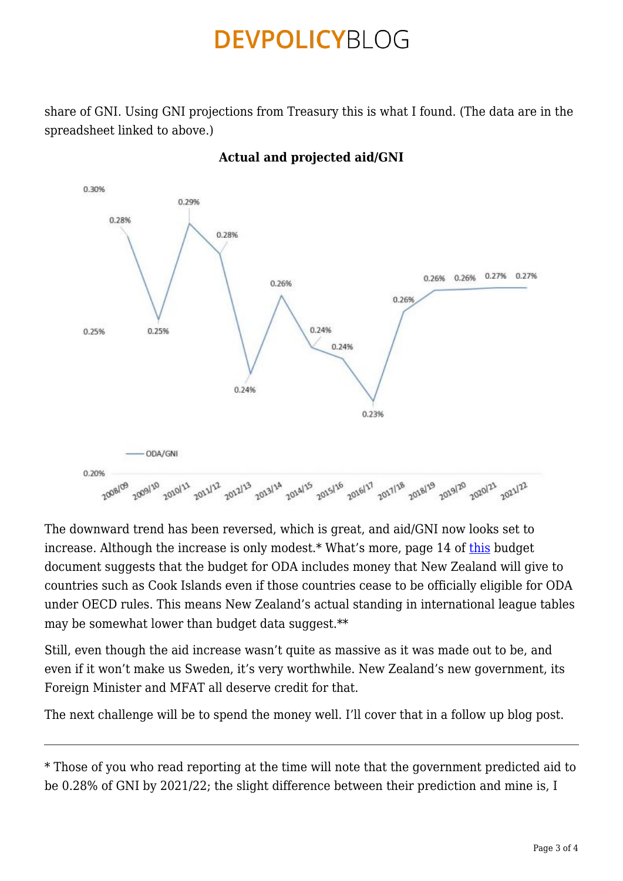share of GNI. Using GNI projections from Treasury this is what I found. (The data are in the spreadsheet linked to above.)



**Actual and projected aid/GNI**

The downward trend has been reversed, which is great, and aid/GNI now looks set to increase. Although the increase is only modest.\* What's more, page 14 of [this](https://treasury.govt.nz/sites/default/files/2018-05/est18-v4-offdev.pdf) budget document suggests that the budget for ODA includes money that New Zealand will give to countries such as Cook Islands even if those countries cease to be officially eligible for ODA under OECD rules. This means New Zealand's actual standing in international league tables may be somewhat lower than budget data suggest.\*\*

Still, even though the aid increase wasn't quite as massive as it was made out to be, and even if it won't make us Sweden, it's very worthwhile. New Zealand's new government, its Foreign Minister and MFAT all deserve credit for that.

The next challenge will be to spend the money well. I'll cover that in a follow up blog post.

\* Those of you who read reporting at the time will note that the government predicted aid to be 0.28% of GNI by 2021/22; the slight difference between their prediction and mine is, I